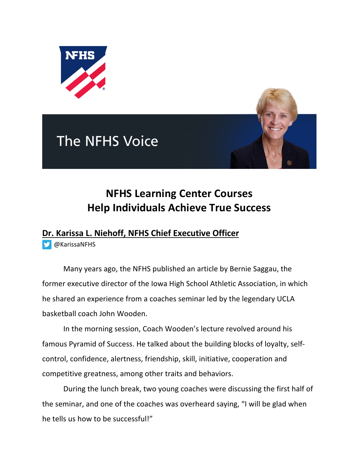





## **NFHS Learning Center Courses Help Individuals Achieve True Success**

## **Dr. Karissa L. Niehoff, NFHS Chief Executive Officer**

@KarissaNFHS

Many years ago, the NFHS published an article by Bernie Saggau, the former executive director of the Iowa High School Athletic Association, in which he shared an experience from a coaches seminar led by the legendary UCLA basketball coach John Wooden.

In the morning session, Coach Wooden's lecture revolved around his famous Pyramid of Success. He talked about the building blocks of loyalty, selfcontrol, confidence, alertness, friendship, skill, initiative, cooperation and competitive greatness, among other traits and behaviors.

During the lunch break, two young coaches were discussing the first half of the seminar, and one of the coaches was overheard saying, "I will be glad when he tells us how to be successful!"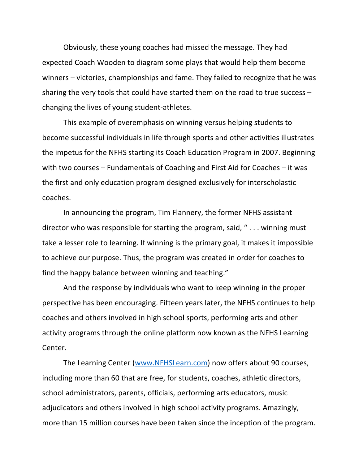Obviously, these young coaches had missed the message. They had expected Coach Wooden to diagram some plays that would help them become winners – victories, championships and fame. They failed to recognize that he was sharing the very tools that could have started them on the road to true success – changing the lives of young student-athletes.

This example of overemphasis on winning versus helping students to become successful individuals in life through sports and other activities illustrates the impetus for the NFHS starting its Coach Education Program in 2007. Beginning with two courses – Fundamentals of Coaching and First Aid for Coaches – it was the first and only education program designed exclusively for interscholastic coaches.

In announcing the program, Tim Flannery, the former NFHS assistant director who was responsible for starting the program, said, " . . . winning must take a lesser role to learning. If winning is the primary goal, it makes it impossible to achieve our purpose. Thus, the program was created in order for coaches to find the happy balance between winning and teaching."

And the response by individuals who want to keep winning in the proper perspective has been encouraging. Fifteen years later, the NFHS continues to help coaches and others involved in high school sports, performing arts and other activity programs through the online platform now known as the NFHS Learning Center.

The Learning Center (www.NFHSLearn.com) now offers about 90 courses, including more than 60 that are free, for students, coaches, athletic directors, school administrators, parents, officials, performing arts educators, music adjudicators and others involved in high school activity programs. Amazingly, more than 15 million courses have been taken since the inception of the program.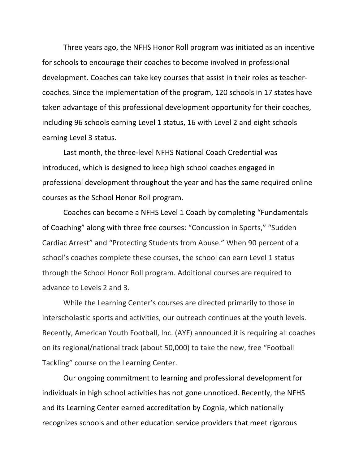Three years ago, the NFHS Honor Roll program was initiated as an incentive for schools to encourage their coaches to become involved in professional development. Coaches can take key courses that assist in their roles as teachercoaches. Since the implementation of the program, 120 schools in 17 states have taken advantage of this professional development opportunity for their coaches, including 96 schools earning Level 1 status, 16 with Level 2 and eight schools earning Level 3 status.

Last month, the three-level NFHS National Coach Credential was introduced, which is designed to keep high school coaches engaged in professional development throughout the year and has the same required online courses as the School Honor Roll program.

Coaches can become a NFHS Level 1 Coach by completing "Fundamentals of Coaching" along with three free courses: "Concussion in Sports," "Sudden Cardiac Arrest" and "Protecting Students from Abuse." When 90 percent of a school's coaches complete these courses, the school can earn Level 1 status through the School Honor Roll program. Additional courses are required to advance to Levels 2 and 3.

While the Learning Center's courses are directed primarily to those in interscholastic sports and activities, our outreach continues at the youth levels. Recently, American Youth Football, Inc. (AYF) announced it is requiring all coaches on its regional/national track (about 50,000) to take the new, free "Football Tackling" course on the Learning Center.

Our ongoing commitment to learning and professional development for individuals in high school activities has not gone unnoticed. Recently, the NFHS and its Learning Center earned accreditation by Cognia, which nationally recognizes schools and other education service providers that meet rigorous